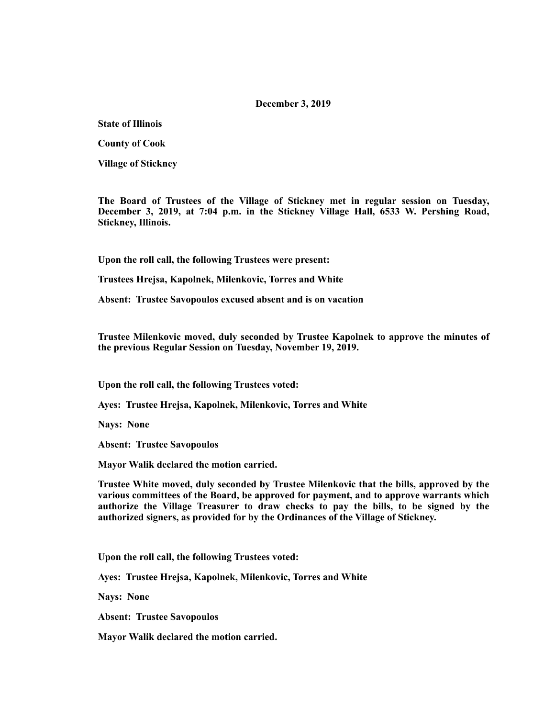#### **December 3, 2019**

**State of Illinois** 

**County of Cook** 

**Village of Stickney** 

**The Board of Trustees of the Village of Stickney met in regular session on Tuesday, December 3, 2019, at 7:04 p.m. in the Stickney Village Hall, 6533 W. Pershing Road, Stickney, Illinois.** 

**Upon the roll call, the following Trustees were present:** 

**Trustees Hrejsa, Kapolnek, Milenkovic, Torres and White** 

**Absent: Trustee Savopoulos excused absent and is on vacation** 

**Trustee Milenkovic moved, duly seconded by Trustee Kapolnek to approve the minutes of the previous Regular Session on Tuesday, November 19, 2019.** 

**Upon the roll call, the following Trustees voted:** 

**Ayes: Trustee Hrejsa, Kapolnek, Milenkovic, Torres and White** 

**Nays: None** 

**Absent: Trustee Savopoulos** 

**Mayor Walik declared the motion carried.** 

**Trustee White moved, duly seconded by Trustee Milenkovic that the bills, approved by the various committees of the Board, be approved for payment, and to approve warrants which authorize the Village Treasurer to draw checks to pay the bills, to be signed by the authorized signers, as provided for by the Ordinances of the Village of Stickney.** 

**Upon the roll call, the following Trustees voted:** 

**Ayes: Trustee Hrejsa, Kapolnek, Milenkovic, Torres and White** 

**Nays: None** 

**Absent: Trustee Savopoulos** 

**Mayor Walik declared the motion carried.**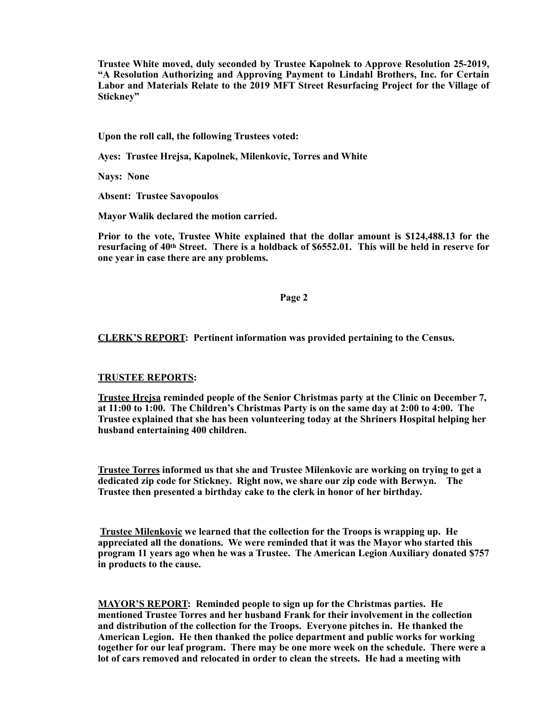**Trustee White moved, duly seconded by Trustee Kapolnek to Approve Resolution 25-2019, "A Resolution Authorizing and Approving Payment to Lindahl Brothers, Inc. for Certain Labor and Materials Relate to the 2019 MFT Street Resurfacing Project for the Village of Stickney"** 

**Upon the roll call, the following Trustees voted:** 

**Ayes: Trustee Hrejsa, Kapolnek, Milenkovic, Torres and White** 

**Nays: None** 

**Absent: Trustee Savopoulos** 

**Mayor Walik declared the motion carried.** 

**Prior to the vote, Trustee White explained that the dollar amount is \$124,488.13 for the resurfacing of 40th Street. There is a holdback of \$6552.01. This will be held in reserve for one year in case there are any problems.** 

#### **Page 2**

# **CLERK'S REPORT: Pertinent information was provided pertaining to the Census.**

## **TRUSTEE REPORTS:**

**Trustee Hrejsa reminded people of the Senior Christmas party at the Clinic on December 7, at 11:00 to 1:00. The Children's Christmas Party is on the same day at 2:00 to 4:00. The Trustee explained that she has been volunteering today at the Shriners Hospital helping her husband entertaining 400 children.** 

**Trustee Torres informed us that she and Trustee Milenkovic are working on trying to get a dedicated zip code for Stickney. Right now, we share our zip code with Berwyn. The Trustee then presented a birthday cake to the clerk in honor of her birthday.** 

**Trustee Milenkovic we learned that the collection for the Troops is wrapping up. He appreciated all the donations. We were reminded that it was the Mayor who started this program 11 years ago when he was a Trustee. The American Legion Auxiliary donated \$757 in products to the cause.** 

**MAYOR'S REPORT: Reminded people to sign up for the Christmas parties. He mentioned Trustee Torres and her husband Frank for their involvement in the collection and distribution of the collection for the Troops. Everyone pitches in. He thanked the American Legion. He then thanked the police department and public works for working together for our leaf program. There may be one more week on the schedule. There were a lot of cars removed and relocated in order to clean the streets. He had a meeting with**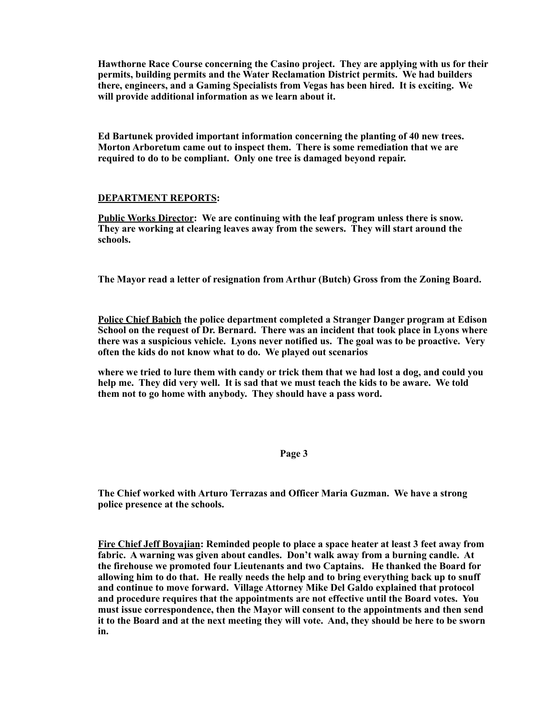**Hawthorne Race Course concerning the Casino project. They are applying with us for their permits, building permits and the Water Reclamation District permits. We had builders there, engineers, and a Gaming Specialists from Vegas has been hired. It is exciting. We will provide additional information as we learn about it.** 

**Ed Bartunek provided important information concerning the planting of 40 new trees. Morton Arboretum came out to inspect them. There is some remediation that we are required to do to be compliant. Only one tree is damaged beyond repair.** 

## **DEPARTMENT REPORTS:**

**Public Works Director: We are continuing with the leaf program unless there is snow. They are working at clearing leaves away from the sewers. They will start around the schools.** 

**The Mayor read a letter of resignation from Arthur (Butch) Gross from the Zoning Board.** 

**Police Chief Babich the police department completed a Stranger Danger program at Edison School on the request of Dr. Bernard. There was an incident that took place in Lyons where there was a suspicious vehicle. Lyons never notified us. The goal was to be proactive. Very often the kids do not know what to do. We played out scenarios** 

**where we tried to lure them with candy or trick them that we had lost a dog, and could you help me. They did very well. It is sad that we must teach the kids to be aware. We told them not to go home with anybody. They should have a pass word.** 

## **Page 3**

**The Chief worked with Arturo Terrazas and Officer Maria Guzman. We have a strong police presence at the schools.** 

**Fire Chief Jeff Boyajian: Reminded people to place a space heater at least 3 feet away from fabric. A warning was given about candles. Don't walk away from a burning candle. At the firehouse we promoted four Lieutenants and two Captains. He thanked the Board for allowing him to do that. He really needs the help and to bring everything back up to snuff and continue to move forward. Village Attorney Mike Del Galdo explained that protocol and procedure requires that the appointments are not effective until the Board votes. You must issue correspondence, then the Mayor will consent to the appointments and then send it to the Board and at the next meeting they will vote. And, they should be here to be sworn in.**